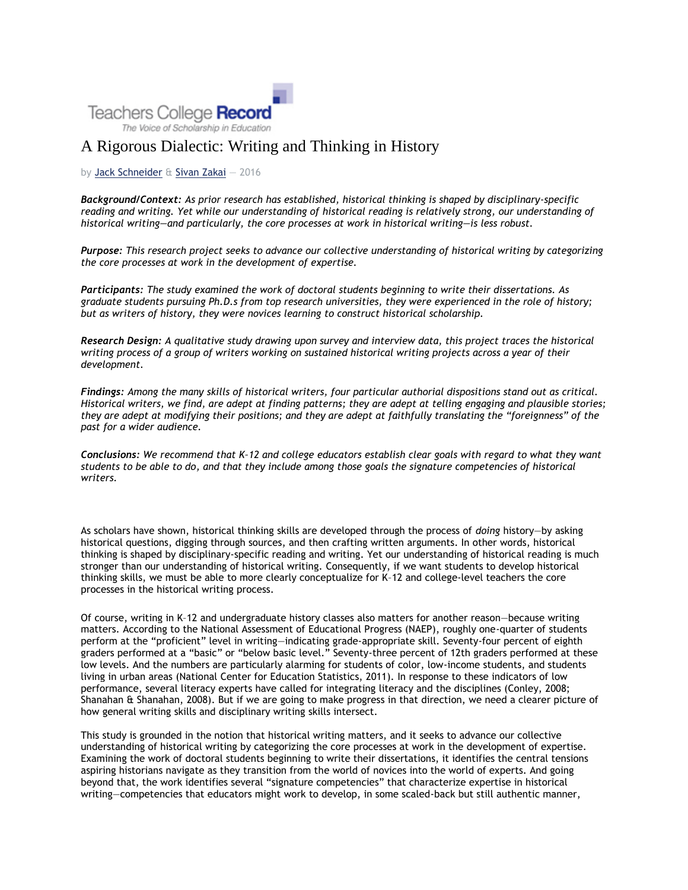

# A Rigorous Dialectic: Writing and Thinking in History

## by [Jack Schneider](http://www.tcrecord.org/AuthorDisplay.asp?aid=23368) & [Sivan Zakai](http://www.tcrecord.org/AuthorDisplay.asp?aid=23369) — 2016

*Background/Context: As prior research has established, historical thinking is shaped by disciplinary-specific reading and writing. Yet while our understanding of historical reading is relatively strong, our understanding of historical writing—and particularly, the core processes at work in historical writing—is less robust.*

*Purpose: This research project seeks to advance our collective understanding of historical writing by categorizing the core processes at work in the development of expertise.*

*Participants: The study examined the work of doctoral students beginning to write their dissertations. As graduate students pursuing Ph.D.s from top research universities, they were experienced in the role of history; but as writers of history, they were novices learning to construct historical scholarship.*

*Research Design: A qualitative study drawing upon survey and interview data, this project traces the historical writing process of a group of writers working on sustained historical writing projects across a year of their development.*

*Findings: Among the many skills of historical writers, four particular authorial dispositions stand out as critical. Historical writers, we find, are adept at finding patterns; they are adept at telling engaging and plausible stories; they are adept at modifying their positions; and they are adept at faithfully translating the "foreignness" of the past for a wider audience.*

*Conclusions: We recommend that K–12 and college educators establish clear goals with regard to what they want students to be able to do, and that they include among those goals the signature competencies of historical writers.*

As scholars have shown, historical thinking skills are developed through the process of *doing* history—by asking historical questions, digging through sources, and then crafting written arguments. In other words, historical thinking is shaped by disciplinary-specific reading and writing. Yet our understanding of historical reading is much stronger than our understanding of historical writing. Consequently, if we want students to develop historical thinking skills, we must be able to more clearly conceptualize for K–12 and college-level teachers the core processes in the historical writing process.

Of course, writing in K–12 and undergraduate history classes also matters for another reason—because writing matters. According to the National Assessment of Educational Progress (NAEP), roughly one-quarter of students perform at the "proficient" level in writing—indicating grade-appropriate skill. Seventy-four percent of eighth graders performed at a "basic" or "below basic level." Seventy-three percent of 12th graders performed at these low levels. And the numbers are particularly alarming for students of color, low-income students, and students living in urban areas (National Center for Education Statistics, 2011). In response to these indicators of low performance, several literacy experts have called for integrating literacy and the disciplines (Conley, 2008; Shanahan & Shanahan, 2008). But if we are going to make progress in that direction, we need a clearer picture of how general writing skills and disciplinary writing skills intersect.

This study is grounded in the notion that historical writing matters, and it seeks to advance our collective understanding of historical writing by categorizing the core processes at work in the development of expertise. Examining the work of doctoral students beginning to write their dissertations, it identifies the central tensions aspiring historians navigate as they transition from the world of novices into the world of experts. And going beyond that, the work identifies several "signature competencies" that characterize expertise in historical writing—competencies that educators might work to develop, in some scaled-back but still authentic manner,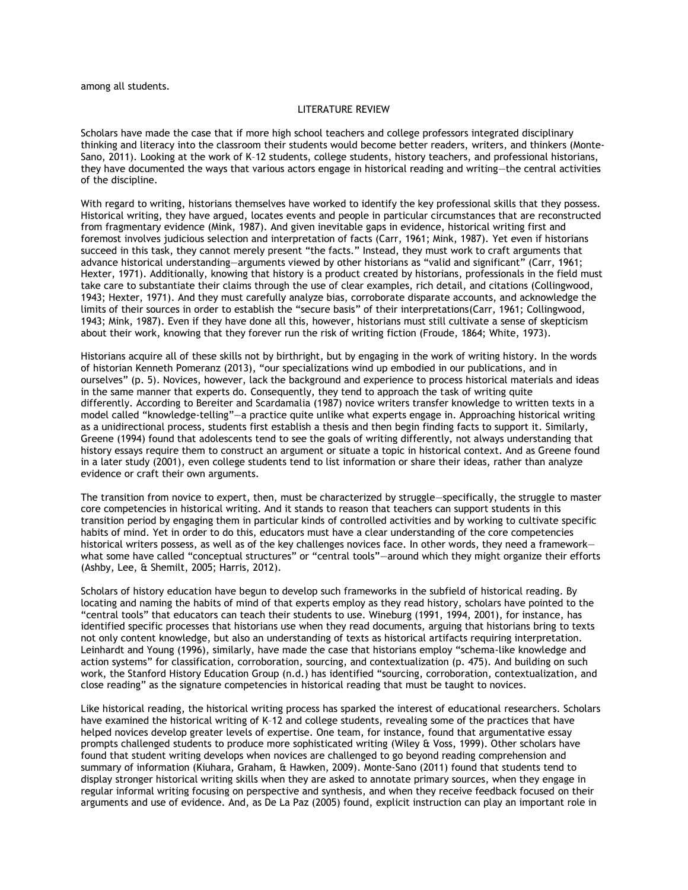among all students.

#### LITERATURE REVIEW

Scholars have made the case that if more high school teachers and college professors integrated disciplinary thinking and literacy into the classroom their students would become better readers, writers, and thinkers (Monte-Sano, 2011). Looking at the work of K–12 students, college students, history teachers, and professional historians, they have documented the ways that various actors engage in historical reading and writing—the central activities of the discipline.

With regard to writing, historians themselves have worked to identify the key professional skills that they possess. Historical writing, they have argued, locates events and people in particular circumstances that are reconstructed from fragmentary evidence (Mink, 1987). And given inevitable gaps in evidence, historical writing first and foremost involves judicious selection and interpretation of facts (Carr, 1961; Mink, 1987). Yet even if historians succeed in this task, they cannot merely present "the facts." Instead, they must work to craft arguments that advance historical understanding—arguments viewed by other historians as "valid and significant" (Carr, 1961; Hexter, 1971). Additionally, knowing that history is a product created by historians, professionals in the field must take care to substantiate their claims through the use of clear examples, rich detail, and citations (Collingwood, 1943; Hexter, 1971). And they must carefully analyze bias, corroborate disparate accounts, and acknowledge the limits of their sources in order to establish the "secure basis" of their interpretations(Carr, 1961; Collingwood, 1943; Mink, 1987). Even if they have done all this, however, historians must still cultivate a sense of skepticism about their work, knowing that they forever run the risk of writing fiction (Froude, 1864; White, 1973).

Historians acquire all of these skills not by birthright, but by engaging in the work of writing history. In the words of historian Kenneth Pomeranz (2013), "our specializations wind up embodied in our publications, and in ourselves" (p. 5). Novices, however, lack the background and experience to process historical materials and ideas in the same manner that experts do. Consequently, they tend to approach the task of writing quite differently. According to Bereiter and Scardamalia (1987) novice writers transfer knowledge to written texts in a model called "knowledge-telling"—a practice quite unlike what experts engage in. Approaching historical writing as a unidirectional process, students first establish a thesis and then begin finding facts to support it. Similarly, Greene (1994) found that adolescents tend to see the goals of writing differently, not always understanding that history essays require them to construct an argument or situate a topic in historical context. And as Greene found in a later study (2001), even college students tend to list information or share their ideas, rather than analyze evidence or craft their own arguments.

The transition from novice to expert, then, must be characterized by struggle—specifically, the struggle to master core competencies in historical writing. And it stands to reason that teachers can support students in this transition period by engaging them in particular kinds of controlled activities and by working to cultivate specific habits of mind. Yet in order to do this, educators must have a clear understanding of the core competencies historical writers possess, as well as of the key challenges novices face. In other words, they need a framework what some have called "conceptual structures" or "central tools"—around which they might organize their efforts (Ashby, Lee, & Shemilt, 2005; Harris, 2012).

Scholars of history education have begun to develop such frameworks in the subfield of historical reading. By locating and naming the habits of mind of that experts employ as they read history, scholars have pointed to the "central tools" that educators can teach their students to use. Wineburg (1991, 1994, 2001), for instance, has identified specific processes that historians use when they read documents, arguing that historians bring to texts not only content knowledge, but also an understanding of texts as historical artifacts requiring interpretation. Leinhardt and Young (1996), similarly, have made the case that historians employ "schema-like knowledge and action systems" for classification, corroboration, sourcing, and contextualization (p. 475). And building on such work, the Stanford History Education Group (n.d.) has identified "sourcing, corroboration, contextualization, and close reading" as the signature competencies in historical reading that must be taught to novices.

Like historical reading, the historical writing process has sparked the interest of educational researchers. Scholars have examined the historical writing of K–12 and college students, revealing some of the practices that have helped novices develop greater levels of expertise. One team, for instance, found that argumentative essay prompts challenged students to produce more sophisticated writing (Wiley & Voss, 1999). Other scholars have found that student writing develops when novices are challenged to go beyond reading comprehension and summary of information (Kiuhara, Graham, & Hawken, 2009). Monte-Sano (2011) found that students tend to display stronger historical writing skills when they are asked to annotate primary sources, when they engage in regular informal writing focusing on perspective and synthesis, and when they receive feedback focused on their arguments and use of evidence. And, as De La Paz (2005) found, explicit instruction can play an important role in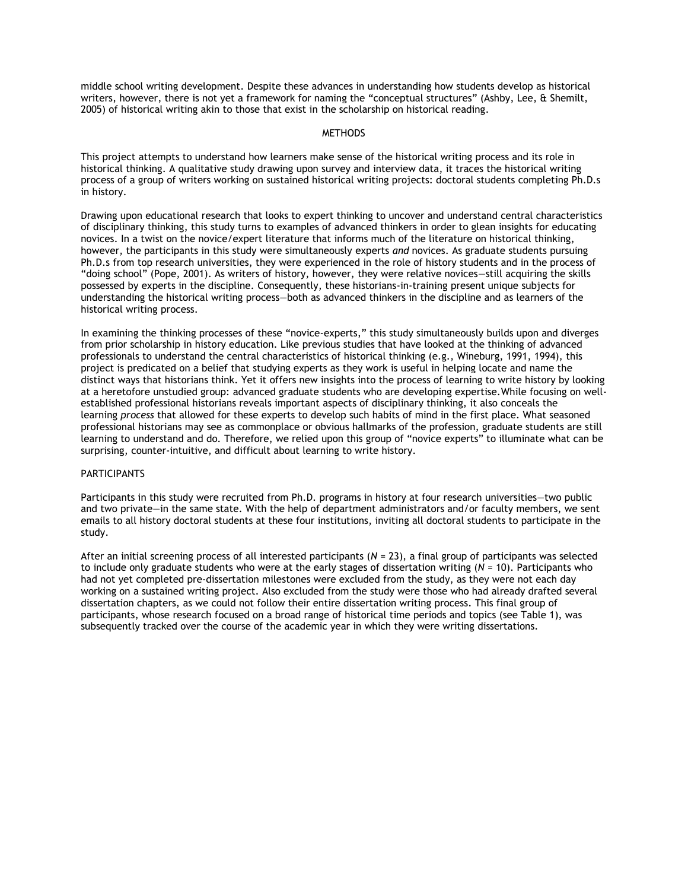middle school writing development. Despite these advances in understanding how students develop as historical writers, however, there is not yet a framework for naming the "conceptual structures" (Ashby, Lee, & Shemilt, 2005) of historical writing akin to those that exist in the scholarship on historical reading.

## **METHODS**

This project attempts to understand how learners make sense of the historical writing process and its role in historical thinking. A qualitative study drawing upon survey and interview data, it traces the historical writing process of a group of writers working on sustained historical writing projects: doctoral students completing Ph.D.s in history.

Drawing upon educational research that looks to expert thinking to uncover and understand central characteristics of disciplinary thinking, this study turns to examples of advanced thinkers in order to glean insights for educating novices. In a twist on the novice/expert literature that informs much of the literature on historical thinking, however, the participants in this study were simultaneously experts *and* novices. As graduate students pursuing Ph.D.s from top research universities, they were experienced in the role of history students and in the process of "doing school" (Pope, 2001). As writers of history, however, they were relative novices—still acquiring the skills possessed by experts in the discipline. Consequently, these historians-in-training present unique subjects for understanding the historical writing process—both as advanced thinkers in the discipline and as learners of the historical writing process.

In examining the thinking processes of these "novice-experts," this study simultaneously builds upon and diverges from prior scholarship in history education. Like previous studies that have looked at the thinking of advanced professionals to understand the central characteristics of historical thinking (e.g., Wineburg, 1991, 1994), this project is predicated on a belief that studying experts as they work is useful in helping locate and name the distinct ways that historians think. Yet it offers new insights into the process of learning to write history by looking at a heretofore unstudied group: advanced graduate students who are developing expertise.While focusing on wellestablished professional historians reveals important aspects of disciplinary thinking, it also conceals the learning *process* that allowed for these experts to develop such habits of mind in the first place. What seasoned professional historians may see as commonplace or obvious hallmarks of the profession, graduate students are still learning to understand and do. Therefore, we relied upon this group of "novice experts" to illuminate what can be surprising, counter-intuitive, and difficult about learning to write history.

## **PARTICIPANTS**

Participants in this study were recruited from Ph.D. programs in history at four research universities—two public and two private—in the same state. With the help of department administrators and/or faculty members, we sent emails to all history doctoral students at these four institutions, inviting all doctoral students to participate in the study.

After an initial screening process of all interested participants (*N* = 23), a final group of participants was selected to include only graduate students who were at the early stages of dissertation writing (*N* = 10). Participants who had not yet completed pre-dissertation milestones were excluded from the study, as they were not each day working on a sustained writing project. Also excluded from the study were those who had already drafted several dissertation chapters, as we could not follow their entire dissertation writing process. This final group of participants, whose research focused on a broad range of historical time periods and topics (see Table 1), was subsequently tracked over the course of the academic year in which they were writing dissertations.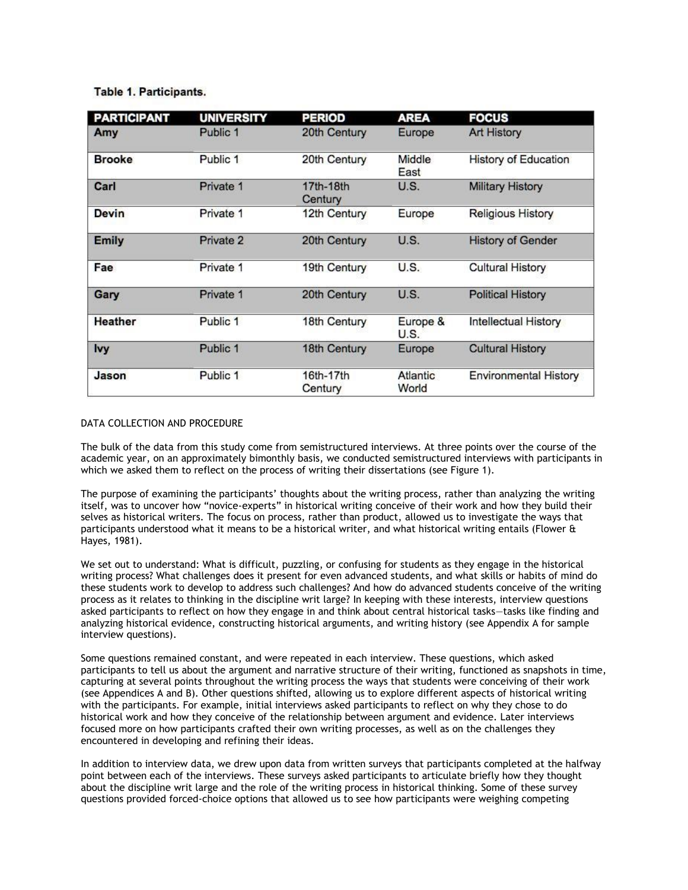# Table 1. Participants.

| <b>PARTICIPANT</b> | <b>UNIVERSITY</b> | <b>PERIOD</b>        | <b>AREA</b>       | <b>FOCUS</b>                 |
|--------------------|-------------------|----------------------|-------------------|------------------------------|
| Amy                | Public 1          | 20th Century         | Europe            | <b>Art History</b>           |
| <b>Brooke</b>      | Public 1          | 20th Century         | Middle<br>East    | <b>History of Education</b>  |
| Carl               | Private 1         | 17th-18th<br>Century | U.S.              | <b>Military History</b>      |
| Devin              | Private 1         | 12th Century         | Europe            | <b>Religious History</b>     |
| <b>Emily</b>       | Private 2         | 20th Century         | U.S.              | <b>History of Gender</b>     |
| Fae                | Private 1         | 19th Century         | U.S.              | <b>Cultural History</b>      |
| Gary               | Private 1         | 20th Century         | U.S.              | <b>Political History</b>     |
| <b>Heather</b>     | Public 1          | 18th Century         | Europe &<br>U.S.  | Intellectual History         |
| <b>lvy</b>         | Public 1          | 18th Century         | Europe            | <b>Cultural History</b>      |
| Jason              | Public 1          | 16th-17th<br>Century | Atlantic<br>World | <b>Environmental History</b> |

## DATA COLLECTION AND PROCEDURE

The bulk of the data from this study come from semistructured interviews. At three points over the course of the academic year, on an approximately bimonthly basis, we conducted semistructured interviews with participants in which we asked them to reflect on the process of writing their dissertations (see Figure 1).

The purpose of examining the participants' thoughts about the writing process, rather than analyzing the writing itself, was to uncover how "novice-experts" in historical writing conceive of their work and how they build their selves as historical writers. The focus on process, rather than product, allowed us to investigate the ways that participants understood what it means to be a historical writer, and what historical writing entails (Flower & Hayes, 1981).

We set out to understand: What is difficult, puzzling, or confusing for students as they engage in the historical writing process? What challenges does it present for even advanced students, and what skills or habits of mind do these students work to develop to address such challenges? And how do advanced students conceive of the writing process as it relates to thinking in the discipline writ large? In keeping with these interests, interview questions asked participants to reflect on how they engage in and think about central historical tasks—tasks like finding and analyzing historical evidence, constructing historical arguments, and writing history (see Appendix A for sample interview questions).

Some questions remained constant, and were repeated in each interview. These questions, which asked participants to tell us about the argument and narrative structure of their writing, functioned as snapshots in time, capturing at several points throughout the writing process the ways that students were conceiving of their work (see Appendices A and B). Other questions shifted, allowing us to explore different aspects of historical writing with the participants. For example, initial interviews asked participants to reflect on why they chose to do historical work and how they conceive of the relationship between argument and evidence. Later interviews focused more on how participants crafted their own writing processes, as well as on the challenges they encountered in developing and refining their ideas.

In addition to interview data, we drew upon data from written surveys that participants completed at the halfway point between each of the interviews. These surveys asked participants to articulate briefly how they thought about the discipline writ large and the role of the writing process in historical thinking. Some of these survey questions provided forced-choice options that allowed us to see how participants were weighing competing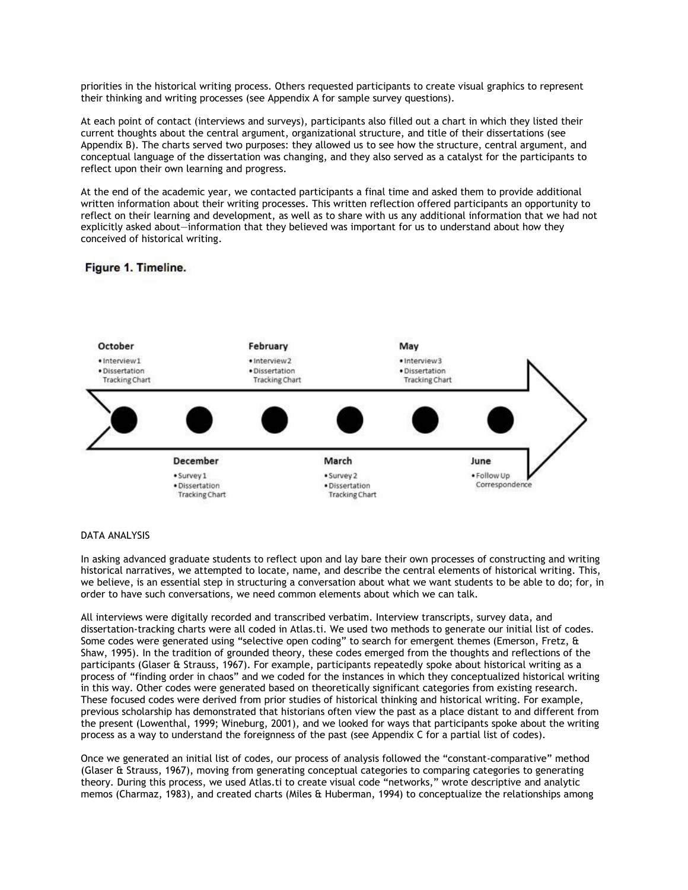priorities in the historical writing process. Others requested participants to create visual graphics to represent their thinking and writing processes (see Appendix A for sample survey questions).

At each point of contact (interviews and surveys), participants also filled out a chart in which they listed their current thoughts about the central argument, organizational structure, and title of their dissertations (see Appendix B). The charts served two purposes: they allowed us to see how the structure, central argument, and conceptual language of the dissertation was changing, and they also served as a catalyst for the participants to reflect upon their own learning and progress.

At the end of the academic year, we contacted participants a final time and asked them to provide additional written information about their writing processes. This written reflection offered participants an opportunity to reflect on their learning and development, as well as to share with us any additional information that we had not explicitly asked about—information that they believed was important for us to understand about how they conceived of historical writing.

# Figure 1. Timeline.



#### DATA ANALYSIS

In asking advanced graduate students to reflect upon and lay bare their own processes of constructing and writing historical narratives, we attempted to locate, name, and describe the central elements of historical writing. This, we believe, is an essential step in structuring a conversation about what we want students to be able to do; for, in order to have such conversations, we need common elements about which we can talk.

All interviews were digitally recorded and transcribed verbatim. Interview transcripts, survey data, and dissertation-tracking charts were all coded in Atlas.ti. We used two methods to generate our initial list of codes. Some codes were generated using "selective open coding" to search for emergent themes (Emerson, Fretz, & Shaw, 1995). In the tradition of grounded theory, these codes emerged from the thoughts and reflections of the participants (Glaser & Strauss, 1967). For example, participants repeatedly spoke about historical writing as a process of "finding order in chaos" and we coded for the instances in which they conceptualized historical writing in this way. Other codes were generated based on theoretically significant categories from existing research. These focused codes were derived from prior studies of historical thinking and historical writing. For example, previous scholarship has demonstrated that historians often view the past as a place distant to and different from the present (Lowenthal, 1999; Wineburg, 2001), and we looked for ways that participants spoke about the writing process as a way to understand the foreignness of the past (see Appendix C for a partial list of codes).

Once we generated an initial list of codes, our process of analysis followed the "constant-comparative" method (Glaser & Strauss, 1967), moving from generating conceptual categories to comparing categories to generating theory. During this process, we used Atlas.ti to create visual code "networks," wrote descriptive and analytic memos (Charmaz, 1983), and created charts (Miles & Huberman, 1994) to conceptualize the relationships among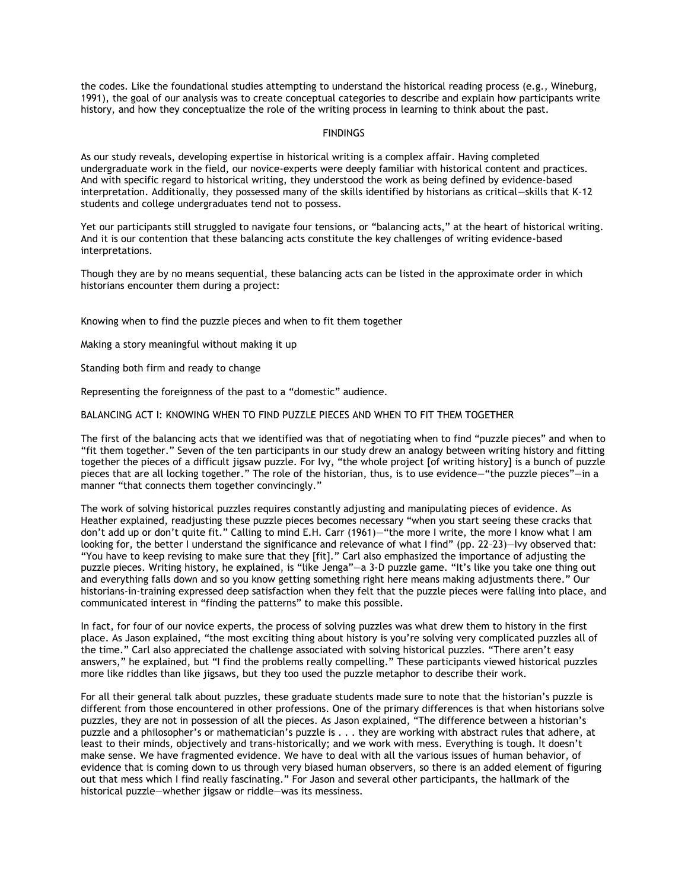the codes. Like the foundational studies attempting to understand the historical reading process (e.g., Wineburg, 1991), the goal of our analysis was to create conceptual categories to describe and explain how participants write history, and how they conceptualize the role of the writing process in learning to think about the past.

## **FINDINGS**

As our study reveals, developing expertise in historical writing is a complex affair. Having completed undergraduate work in the field, our novice-experts were deeply familiar with historical content and practices. And with specific regard to historical writing, they understood the work as being defined by evidence-based interpretation. Additionally, they possessed many of the skills identified by historians as critical—skills that K–12 students and college undergraduates tend not to possess.

Yet our participants still struggled to navigate four tensions, or "balancing acts," at the heart of historical writing. And it is our contention that these balancing acts constitute the key challenges of writing evidence-based interpretations.

Though they are by no means sequential, these balancing acts can be listed in the approximate order in which historians encounter them during a project:

Knowing when to find the puzzle pieces and when to fit them together

Making a story meaningful without making it up

Standing both firm and ready to change

Representing the foreignness of the past to a "domestic" audience.

BALANCING ACT I: KNOWING WHEN TO FIND PUZZLE PIECES AND WHEN TO FIT THEM TOGETHER

The first of the balancing acts that we identified was that of negotiating when to find "puzzle pieces" and when to "fit them together." Seven of the ten participants in our study drew an analogy between writing history and fitting together the pieces of a difficult jigsaw puzzle. For Ivy, "the whole project [of writing history] is a bunch of puzzle pieces that are all locking together." The role of the historian, thus, is to use evidence—"the puzzle pieces"—in a manner "that connects them together convincingly."

The work of solving historical puzzles requires constantly adjusting and manipulating pieces of evidence. As Heather explained, readjusting these puzzle pieces becomes necessary "when you start seeing these cracks that don't add up or don't quite fit." Calling to mind E.H. Carr (1961)—"the more I write, the more I know what I am looking for, the better I understand the significance and relevance of what I find" (pp. 22-23)—Ivy observed that: "You have to keep revising to make sure that they [fit]." Carl also emphasized the importance of adjusting the puzzle pieces. Writing history, he explained, is "like Jenga"—a 3-D puzzle game. "It's like you take one thing out and everything falls down and so you know getting something right here means making adjustments there." Our historians-in-training expressed deep satisfaction when they felt that the puzzle pieces were falling into place, and communicated interest in "finding the patterns" to make this possible.

In fact, for four of our novice experts, the process of solving puzzles was what drew them to history in the first place. As Jason explained, "the most exciting thing about history is you're solving very complicated puzzles all of the time." Carl also appreciated the challenge associated with solving historical puzzles. "There aren't easy answers," he explained, but "I find the problems really compelling." These participants viewed historical puzzles more like riddles than like jigsaws, but they too used the puzzle metaphor to describe their work.

For all their general talk about puzzles, these graduate students made sure to note that the historian's puzzle is different from those encountered in other professions. One of the primary differences is that when historians solve puzzles, they are not in possession of all the pieces. As Jason explained, "The difference between a historian's puzzle and a philosopher's or mathematician's puzzle is . . . they are working with abstract rules that adhere, at least to their minds, objectively and trans-historically; and we work with mess. Everything is tough. It doesn't make sense. We have fragmented evidence. We have to deal with all the various issues of human behavior, of evidence that is coming down to us through very biased human observers, so there is an added element of figuring out that mess which I find really fascinating." For Jason and several other participants, the hallmark of the historical puzzle—whether jigsaw or riddle—was its messiness.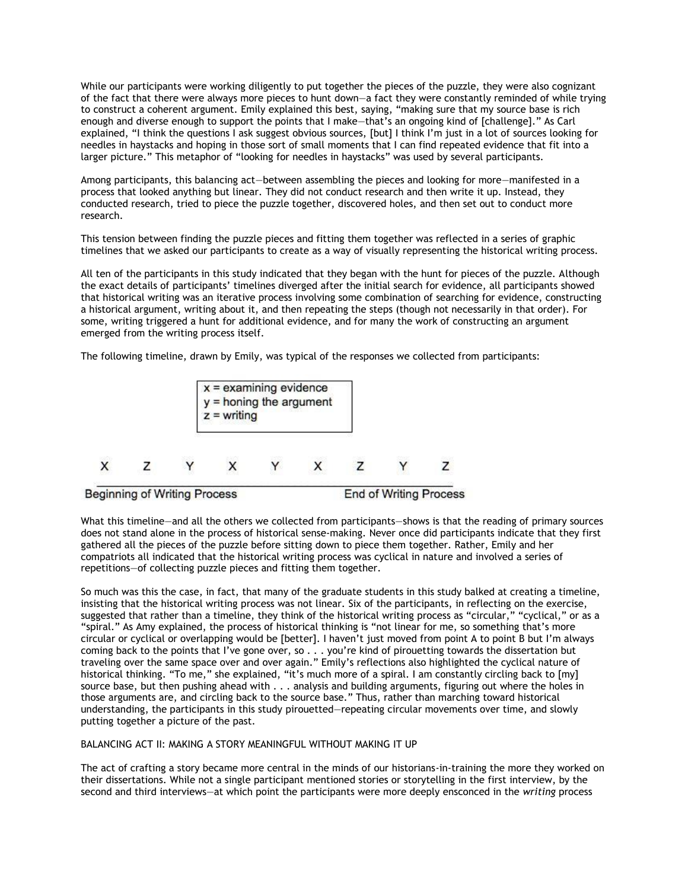While our participants were working diligently to put together the pieces of the puzzle, they were also cognizant of the fact that there were always more pieces to hunt down—a fact they were constantly reminded of while trying to construct a coherent argument. Emily explained this best, saying, "making sure that my source base is rich enough and diverse enough to support the points that I make—that's an ongoing kind of [challenge]." As Carl explained, "I think the questions I ask suggest obvious sources, [but] I think I'm just in a lot of sources looking for needles in haystacks and hoping in those sort of small moments that I can find repeated evidence that fit into a larger picture." This metaphor of "looking for needles in haystacks" was used by several participants.

Among participants, this balancing act—between assembling the pieces and looking for more—manifested in a process that looked anything but linear. They did not conduct research and then write it up. Instead, they conducted research, tried to piece the puzzle together, discovered holes, and then set out to conduct more research.

This tension between finding the puzzle pieces and fitting them together was reflected in a series of graphic timelines that we asked our participants to create as a way of visually representing the historical writing process.

All ten of the participants in this study indicated that they began with the hunt for pieces of the puzzle. Although the exact details of participants' timelines diverged after the initial search for evidence, all participants showed that historical writing was an iterative process involving some combination of searching for evidence, constructing a historical argument, writing about it, and then repeating the steps (though not necessarily in that order). For some, writing triggered a hunt for additional evidence, and for many the work of constructing an argument emerged from the writing process itself.

The following timeline, drawn by Emily, was typical of the responses we collected from participants:



What this timeline—and all the others we collected from participants—shows is that the reading of primary sources does not stand alone in the process of historical sense-making. Never once did participants indicate that they first gathered all the pieces of the puzzle before sitting down to piece them together. Rather, Emily and her compatriots all indicated that the historical writing process was cyclical in nature and involved a series of repetitions—of collecting puzzle pieces and fitting them together.

So much was this the case, in fact, that many of the graduate students in this study balked at creating a timeline, insisting that the historical writing process was not linear. Six of the participants, in reflecting on the exercise, suggested that rather than a timeline, they think of the historical writing process as "circular," "cyclical," or as a "spiral." As Amy explained, the process of historical thinking is "not linear for me, so something that's more circular or cyclical or overlapping would be [better]. I haven't just moved from point A to point B but I'm always coming back to the points that I've gone over, so . . . you're kind of pirouetting towards the dissertation but traveling over the same space over and over again." Emily's reflections also highlighted the cyclical nature of historical thinking. "To me," she explained, "it's much more of a spiral. I am constantly circling back to [my] source base, but then pushing ahead with . . . analysis and building arguments, figuring out where the holes in those arguments are, and circling back to the source base." Thus, rather than marching toward historical understanding, the participants in this study pirouetted—repeating circular movements over time, and slowly putting together a picture of the past.

#### BALANCING ACT II: MAKING A STORY MEANINGFUL WITHOUT MAKING IT UP

The act of crafting a story became more central in the minds of our historians-in-training the more they worked on their dissertations. While not a single participant mentioned stories or storytelling in the first interview, by the second and third interviews—at which point the participants were more deeply ensconced in the *writing* process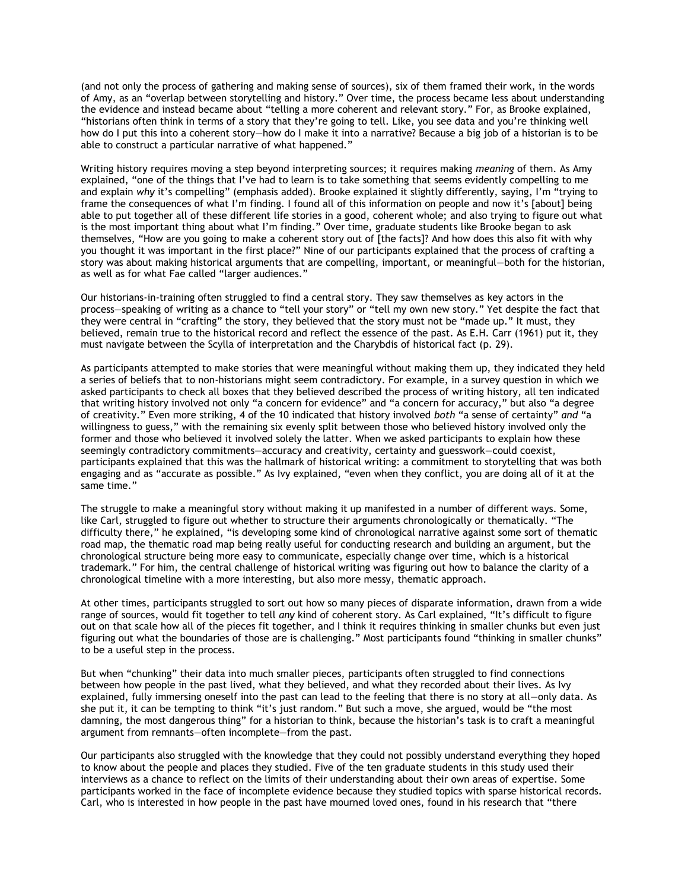(and not only the process of gathering and making sense of sources), six of them framed their work, in the words of Amy, as an "overlap between storytelling and history." Over time, the process became less about understanding the evidence and instead became about "telling a more coherent and relevant story." For, as Brooke explained, "historians often think in terms of a story that they're going to tell. Like, you see data and you're thinking well how do I put this into a coherent story—how do I make it into a narrative? Because a big job of a historian is to be able to construct a particular narrative of what happened."

Writing history requires moving a step beyond interpreting sources; it requires making *meaning* of them. As Amy explained, "one of the things that I've had to learn is to take something that seems evidently compelling to me and explain *why* it's compelling" (emphasis added). Brooke explained it slightly differently, saying, I'm "trying to frame the consequences of what I'm finding. I found all of this information on people and now it's [about] being able to put together all of these different life stories in a good, coherent whole; and also trying to figure out what is the most important thing about what I'm finding." Over time, graduate students like Brooke began to ask themselves, "How are you going to make a coherent story out of [the facts]? And how does this also fit with why you thought it was important in the first place?" Nine of our participants explained that the process of crafting a story was about making historical arguments that are compelling, important, or meaningful—both for the historian, as well as for what Fae called "larger audiences."

Our historians-in-training often struggled to find a central story. They saw themselves as key actors in the process—speaking of writing as a chance to "tell your story" or "tell my own new story." Yet despite the fact that they were central in "crafting" the story, they believed that the story must not be "made up." It must, they believed, remain true to the historical record and reflect the essence of the past. As E.H. Carr (1961) put it, they must navigate between the Scylla of interpretation and the Charybdis of historical fact (p. 29).

As participants attempted to make stories that were meaningful without making them up, they indicated they held a series of beliefs that to non-historians might seem contradictory. For example, in a survey question in which we asked participants to check all boxes that they believed described the process of writing history, all ten indicated that writing history involved not only "a concern for evidence" and "a concern for accuracy," but also "a degree of creativity." Even more striking, 4 of the 10 indicated that history involved *both* "a sense of certainty" *and* "a willingness to guess," with the remaining six evenly split between those who believed history involved only the former and those who believed it involved solely the latter. When we asked participants to explain how these seemingly contradictory commitments—accuracy and creativity, certainty and guesswork—could coexist, participants explained that this was the hallmark of historical writing: a commitment to storytelling that was both engaging and as "accurate as possible." As Ivy explained, "even when they conflict, you are doing all of it at the same time."

The struggle to make a meaningful story without making it up manifested in a number of different ways. Some, like Carl, struggled to figure out whether to structure their arguments chronologically or thematically. "The difficulty there," he explained, "is developing some kind of chronological narrative against some sort of thematic road map, the thematic road map being really useful for conducting research and building an argument, but the chronological structure being more easy to communicate, especially change over time, which is a historical trademark." For him, the central challenge of historical writing was figuring out how to balance the clarity of a chronological timeline with a more interesting, but also more messy, thematic approach.

At other times, participants struggled to sort out how so many pieces of disparate information, drawn from a wide range of sources, would fit together to tell *any* kind of coherent story. As Carl explained, "It's difficult to figure out on that scale how all of the pieces fit together, and I think it requires thinking in smaller chunks but even just figuring out what the boundaries of those are is challenging." Most participants found "thinking in smaller chunks" to be a useful step in the process.

But when "chunking" their data into much smaller pieces, participants often struggled to find connections between how people in the past lived, what they believed, and what they recorded about their lives. As Ivy explained, fully immersing oneself into the past can lead to the feeling that there is no story at all—only data. As she put it, it can be tempting to think "it's just random." But such a move, she argued, would be "the most damning, the most dangerous thing" for a historian to think, because the historian's task is to craft a meaningful argument from remnants—often incomplete—from the past.

Our participants also struggled with the knowledge that they could not possibly understand everything they hoped to know about the people and places they studied. Five of the ten graduate students in this study used their interviews as a chance to reflect on the limits of their understanding about their own areas of expertise. Some participants worked in the face of incomplete evidence because they studied topics with sparse historical records. Carl, who is interested in how people in the past have mourned loved ones, found in his research that "there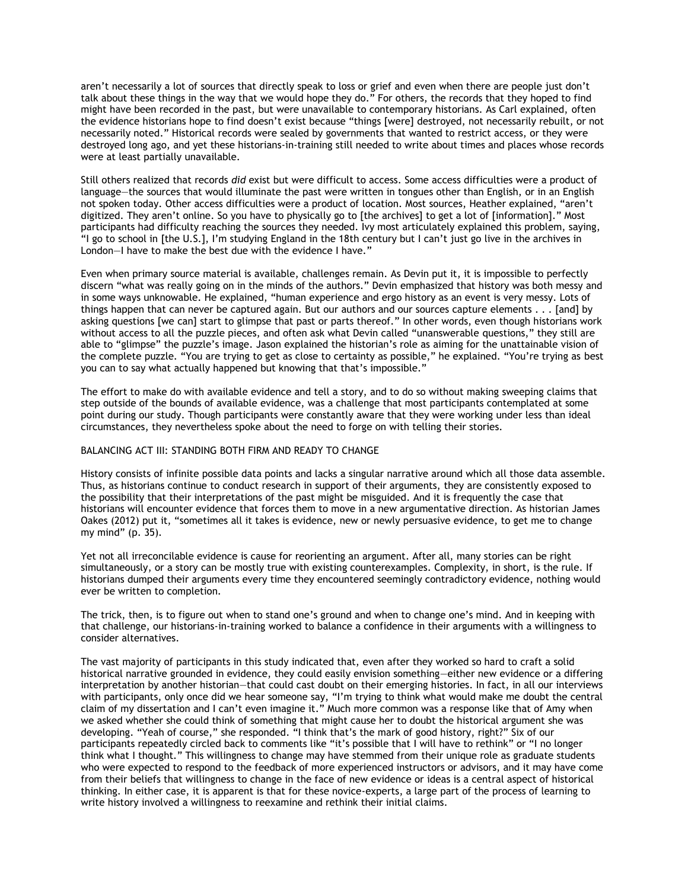aren't necessarily a lot of sources that directly speak to loss or grief and even when there are people just don't talk about these things in the way that we would hope they do." For others, the records that they hoped to find might have been recorded in the past, but were unavailable to contemporary historians. As Carl explained, often the evidence historians hope to find doesn't exist because "things [were] destroyed, not necessarily rebuilt, or not necessarily noted." Historical records were sealed by governments that wanted to restrict access, or they were destroyed long ago, and yet these historians-in-training still needed to write about times and places whose records were at least partially unavailable.

Still others realized that records *did* exist but were difficult to access. Some access difficulties were a product of language—the sources that would illuminate the past were written in tongues other than English, or in an English not spoken today. Other access difficulties were a product of location. Most sources, Heather explained, "aren't digitized. They aren't online. So you have to physically go to [the archives] to get a lot of [information]." Most participants had difficulty reaching the sources they needed. Ivy most articulately explained this problem, saying, "I go to school in [the U.S.], I'm studying England in the 18th century but I can't just go live in the archives in London—I have to make the best due with the evidence I have."

Even when primary source material is available, challenges remain. As Devin put it, it is impossible to perfectly discern "what was really going on in the minds of the authors." Devin emphasized that history was both messy and in some ways unknowable. He explained, "human experience and ergo history as an event is very messy. Lots of things happen that can never be captured again. But our authors and our sources capture elements . . . [and] by asking questions [we can] start to glimpse that past or parts thereof." In other words, even though historians work without access to all the puzzle pieces, and often ask what Devin called "unanswerable questions," they still are able to "glimpse" the puzzle's image. Jason explained the historian's role as aiming for the unattainable vision of the complete puzzle. "You are trying to get as close to certainty as possible," he explained. "You're trying as best you can to say what actually happened but knowing that that's impossible."

The effort to make do with available evidence and tell a story, and to do so without making sweeping claims that step outside of the bounds of available evidence, was a challenge that most participants contemplated at some point during our study. Though participants were constantly aware that they were working under less than ideal circumstances, they nevertheless spoke about the need to forge on with telling their stories.

#### BALANCING ACT III: STANDING BOTH FIRM AND READY TO CHANGE

History consists of infinite possible data points and lacks a singular narrative around which all those data assemble. Thus, as historians continue to conduct research in support of their arguments, they are consistently exposed to the possibility that their interpretations of the past might be misguided. And it is frequently the case that historians will encounter evidence that forces them to move in a new argumentative direction. As historian James Oakes (2012) put it, "sometimes all it takes is evidence, new or newly persuasive evidence, to get me to change my mind" (p. 35).

Yet not all irreconcilable evidence is cause for reorienting an argument. After all, many stories can be right simultaneously, or a story can be mostly true with existing counterexamples. Complexity, in short, is the rule. If historians dumped their arguments every time they encountered seemingly contradictory evidence, nothing would ever be written to completion.

The trick, then, is to figure out when to stand one's ground and when to change one's mind. And in keeping with that challenge, our historians-in-training worked to balance a confidence in their arguments with a willingness to consider alternatives.

The vast majority of participants in this study indicated that, even after they worked so hard to craft a solid historical narrative grounded in evidence, they could easily envision something—either new evidence or a differing interpretation by another historian—that could cast doubt on their emerging histories. In fact, in all our interviews with participants, only once did we hear someone say, "I'm trying to think what would make me doubt the central claim of my dissertation and I can't even imagine it." Much more common was a response like that of Amy when we asked whether she could think of something that might cause her to doubt the historical argument she was developing. "Yeah of course," she responded. "I think that's the mark of good history, right?" Six of our participants repeatedly circled back to comments like "it's possible that I will have to rethink" or "I no longer think what I thought." This willingness to change may have stemmed from their unique role as graduate students who were expected to respond to the feedback of more experienced instructors or advisors, and it may have come from their beliefs that willingness to change in the face of new evidence or ideas is a central aspect of historical thinking. In either case, it is apparent is that for these novice-experts, a large part of the process of learning to write history involved a willingness to reexamine and rethink their initial claims.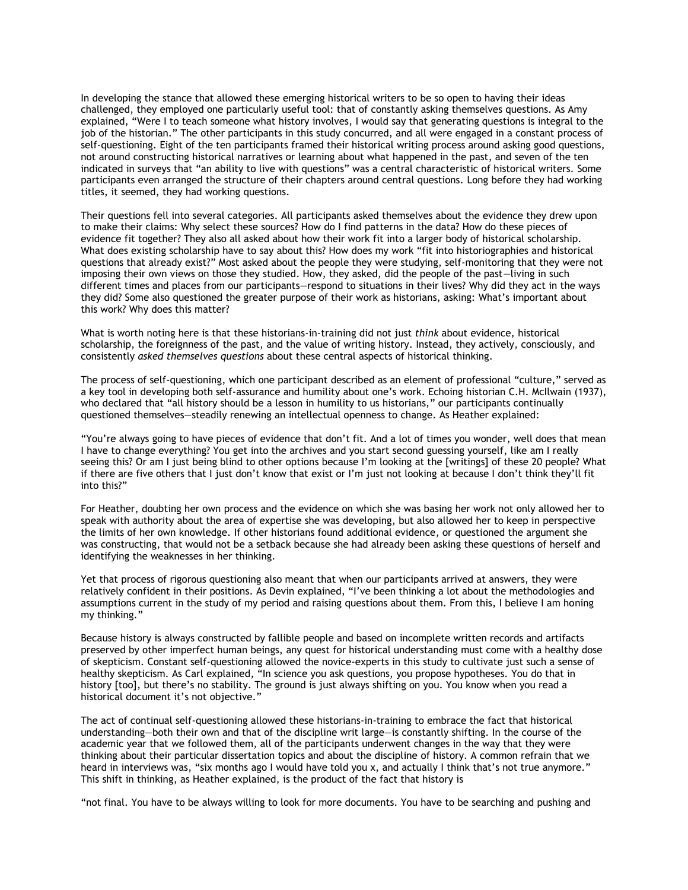In developing the stance that allowed these emerging historical writers to be so open to having their ideas challenged, they employed one particularly useful tool: that of constantly asking themselves questions. As Amy explained, "Were I to teach someone what history involves, I would say that generating questions is integral to the job of the historian." The other participants in this study concurred, and all were engaged in a constant process of self-questioning. Eight of the ten participants framed their historical writing process around asking good questions, not around constructing historical narratives or learning about what happened in the past, and seven of the ten indicated in surveys that "an ability to live with questions" was a central characteristic of historical writers. Some participants even arranged the structure of their chapters around central questions. Long before they had working titles, it seemed, they had working questions.

Their questions fell into several categories. All participants asked themselves about the evidence they drew upon to make their claims: Why select these sources? How do I find patterns in the data? How do these pieces of evidence fit together? They also all asked about how their work fit into a larger body of historical scholarship. What does existing scholarship have to say about this? How does my work "fit into historiographies and historical questions that already exist?" Most asked about the people they were studying, self-monitoring that they were not imposing their own views on those they studied. How, they asked, did the people of the past—living in such different times and places from our participants—respond to situations in their lives? Why did they act in the ways they did? Some also questioned the greater purpose of their work as historians, asking: What's important about this work? Why does this matter?

What is worth noting here is that these historians-in-training did not just *think* about evidence, historical scholarship, the foreignness of the past, and the value of writing history. Instead, they actively, consciously, and consistently *asked themselves questions* about these central aspects of historical thinking.

The process of self-questioning, which one participant described as an element of professional "culture," served as a key tool in developing both self-assurance and humility about one's work. Echoing historian C.H. McIlwain (1937), who declared that "all history should be a lesson in humility to us historians," our participants continually questioned themselves—steadily renewing an intellectual openness to change. As Heather explained:

"You're always going to have pieces of evidence that don't fit. And a lot of times you wonder, well does that mean I have to change everything? You get into the archives and you start second guessing yourself, like am I really seeing this? Or am I just being blind to other options because I'm looking at the [writings] of these 20 people? What if there are five others that I just don't know that exist or I'm just not looking at because I don't think they'll fit into this?"

For Heather, doubting her own process and the evidence on which she was basing her work not only allowed her to speak with authority about the area of expertise she was developing, but also allowed her to keep in perspective the limits of her own knowledge. If other historians found additional evidence, or questioned the argument she was constructing, that would not be a setback because she had already been asking these questions of herself and identifying the weaknesses in her thinking.

Yet that process of rigorous questioning also meant that when our participants arrived at answers, they were relatively confident in their positions. As Devin explained, "I've been thinking a lot about the methodologies and assumptions current in the study of my period and raising questions about them. From this, I believe I am honing my thinking."

Because history is always constructed by fallible people and based on incomplete written records and artifacts preserved by other imperfect human beings, any quest for historical understanding must come with a healthy dose of skepticism. Constant self-questioning allowed the novice-experts in this study to cultivate just such a sense of healthy skepticism. As Carl explained, "In science you ask questions, you propose hypotheses. You do that in history [too], but there's no stability. The ground is just always shifting on you. You know when you read a historical document it's not objective."

The act of continual self-questioning allowed these historians-in-training to embrace the fact that historical understanding—both their own and that of the discipline writ large—is constantly shifting. In the course of the academic year that we followed them, all of the participants underwent changes in the way that they were thinking about their particular dissertation topics and about the discipline of history. A common refrain that we heard in interviews was, "six months ago I would have told you x, and actually I think that's not true anymore." This shift in thinking, as Heather explained, is the product of the fact that history is

"not final. You have to be always willing to look for more documents. You have to be searching and pushing and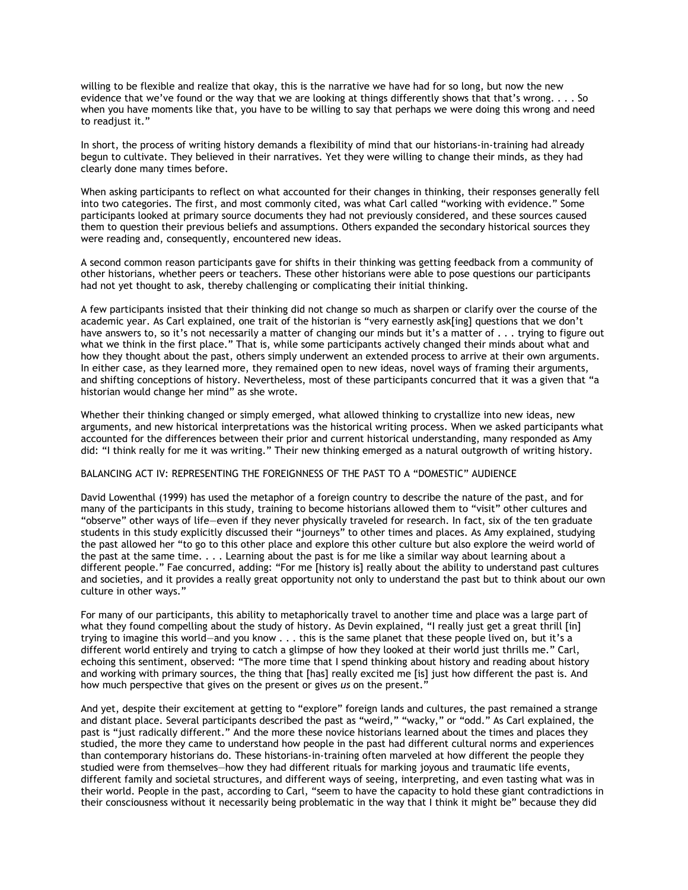willing to be flexible and realize that okay, this is the narrative we have had for so long, but now the new evidence that we've found or the way that we are looking at things differently shows that that's wrong. . . . So when you have moments like that, you have to be willing to say that perhaps we were doing this wrong and need to readjust it."

In short, the process of writing history demands a flexibility of mind that our historians-in-training had already begun to cultivate. They believed in their narratives. Yet they were willing to change their minds, as they had clearly done many times before.

When asking participants to reflect on what accounted for their changes in thinking, their responses generally fell into two categories. The first, and most commonly cited, was what Carl called "working with evidence." Some participants looked at primary source documents they had not previously considered, and these sources caused them to question their previous beliefs and assumptions. Others expanded the secondary historical sources they were reading and, consequently, encountered new ideas.

A second common reason participants gave for shifts in their thinking was getting feedback from a community of other historians, whether peers or teachers. These other historians were able to pose questions our participants had not yet thought to ask, thereby challenging or complicating their initial thinking.

A few participants insisted that their thinking did not change so much as sharpen or clarify over the course of the academic year. As Carl explained, one trait of the historian is "very earnestly ask[ing] questions that we don't have answers to, so it's not necessarily a matter of changing our minds but it's a matter of . . . trying to figure out what we think in the first place." That is, while some participants actively changed their minds about what and how they thought about the past, others simply underwent an extended process to arrive at their own arguments. In either case, as they learned more, they remained open to new ideas, novel ways of framing their arguments, and shifting conceptions of history. Nevertheless, most of these participants concurred that it was a given that "a historian would change her mind" as she wrote.

Whether their thinking changed or simply emerged, what allowed thinking to crystallize into new ideas, new arguments, and new historical interpretations was the historical writing process. When we asked participants what accounted for the differences between their prior and current historical understanding, many responded as Amy did: "I think really for me it was writing." Their new thinking emerged as a natural outgrowth of writing history.

## BALANCING ACT IV: REPRESENTING THE FOREIGNNESS OF THE PAST TO A "DOMESTIC" AUDIENCE

David Lowenthal (1999) has used the metaphor of a foreign country to describe the nature of the past, and for many of the participants in this study, training to become historians allowed them to "visit" other cultures and "observe" other ways of life—even if they never physically traveled for research. In fact, six of the ten graduate students in this study explicitly discussed their "journeys" to other times and places. As Amy explained, studying the past allowed her "to go to this other place and explore this other culture but also explore the weird world of the past at the same time. . . . Learning about the past is for me like a similar way about learning about a different people." Fae concurred, adding: "For me [history is] really about the ability to understand past cultures and societies, and it provides a really great opportunity not only to understand the past but to think about our own culture in other ways."

For many of our participants, this ability to metaphorically travel to another time and place was a large part of what they found compelling about the study of history. As Devin explained, "I really just get a great thrill [in] trying to imagine this world—and you know . . . this is the same planet that these people lived on, but it's a different world entirely and trying to catch a glimpse of how they looked at their world just thrills me." Carl, echoing this sentiment, observed: "The more time that I spend thinking about history and reading about history and working with primary sources, the thing that [has] really excited me [is] just how different the past is. And how much perspective that gives on the present or gives *us* on the present."

And yet, despite their excitement at getting to "explore" foreign lands and cultures, the past remained a strange and distant place. Several participants described the past as "weird," "wacky," or "odd." As Carl explained, the past is "just radically different." And the more these novice historians learned about the times and places they studied, the more they came to understand how people in the past had different cultural norms and experiences than contemporary historians do. These historians-in-training often marveled at how different the people they studied were from themselves—how they had different rituals for marking joyous and traumatic life events, different family and societal structures, and different ways of seeing, interpreting, and even tasting what was in their world. People in the past, according to Carl, "seem to have the capacity to hold these giant contradictions in their consciousness without it necessarily being problematic in the way that I think it might be" because they did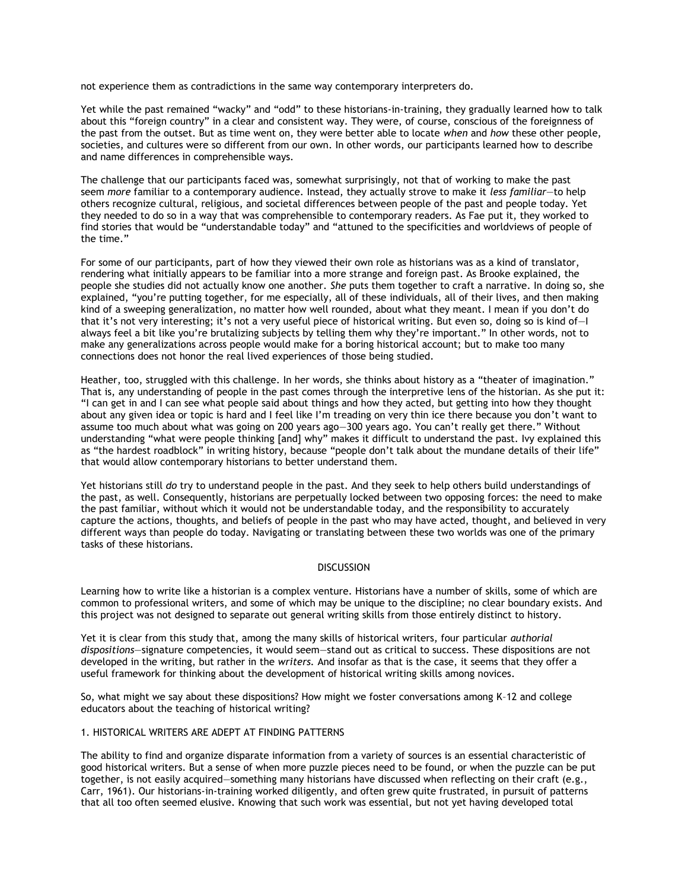not experience them as contradictions in the same way contemporary interpreters do.

Yet while the past remained "wacky" and "odd" to these historians-in-training, they gradually learned how to talk about this "foreign country" in a clear and consistent way. They were, of course, conscious of the foreignness of the past from the outset. But as time went on, they were better able to locate *when* and *how* these other people, societies, and cultures were so different from our own. In other words, our participants learned how to describe and name differences in comprehensible ways.

The challenge that our participants faced was, somewhat surprisingly, not that of working to make the past seem *more* familiar to a contemporary audience. Instead, they actually strove to make it *less familiar*—to help others recognize cultural, religious, and societal differences between people of the past and people today. Yet they needed to do so in a way that was comprehensible to contemporary readers. As Fae put it, they worked to find stories that would be "understandable today" and "attuned to the specificities and worldviews of people of the time."

For some of our participants, part of how they viewed their own role as historians was as a kind of translator, rendering what initially appears to be familiar into a more strange and foreign past. As Brooke explained, the people she studies did not actually know one another. *She* puts them together to craft a narrative. In doing so, she explained, "you're putting together, for me especially, all of these individuals, all of their lives, and then making kind of a sweeping generalization, no matter how well rounded, about what they meant. I mean if you don't do that it's not very interesting; it's not a very useful piece of historical writing. But even so, doing so is kind of—I always feel a bit like you're brutalizing subjects by telling them why they're important." In other words, not to make any generalizations across people would make for a boring historical account; but to make too many connections does not honor the real lived experiences of those being studied.

Heather, too, struggled with this challenge. In her words, she thinks about history as a "theater of imagination." That is, any understanding of people in the past comes through the interpretive lens of the historian. As she put it: "I can get in and I can see what people said about things and how they acted, but getting into how they thought about any given idea or topic is hard and I feel like I'm treading on very thin ice there because you don't want to assume too much about what was going on 200 years ago—300 years ago. You can't really get there." Without understanding "what were people thinking [and] why" makes it difficult to understand the past. Ivy explained this as "the hardest roadblock" in writing history, because "people don't talk about the mundane details of their life" that would allow contemporary historians to better understand them.

Yet historians still *do* try to understand people in the past. And they seek to help others build understandings of the past, as well. Consequently, historians are perpetually locked between two opposing forces: the need to make the past familiar, without which it would not be understandable today, and the responsibility to accurately capture the actions, thoughts, and beliefs of people in the past who may have acted, thought, and believed in very different ways than people do today. Navigating or translating between these two worlds was one of the primary tasks of these historians.

## **DISCUSSION**

Learning how to write like a historian is a complex venture. Historians have a number of skills, some of which are common to professional writers, and some of which may be unique to the discipline; no clear boundary exists. And this project was not designed to separate out general writing skills from those entirely distinct to history.

Yet it is clear from this study that, among the many skills of historical writers, four particular *authorial dispositions*—signature competencies, it would seem—stand out as critical to success. These dispositions are not developed in the writing, but rather in the *writers.* And insofar as that is the case, it seems that they offer a useful framework for thinking about the development of historical writing skills among novices.

So, what might we say about these dispositions? How might we foster conversations among K–12 and college educators about the teaching of historical writing?

#### 1. HISTORICAL WRITERS ARE ADEPT AT FINDING PATTERNS

The ability to find and organize disparate information from a variety of sources is an essential characteristic of good historical writers. But a sense of when more puzzle pieces need to be found, or when the puzzle can be put together, is not easily acquired—something many historians have discussed when reflecting on their craft (e.g., Carr, 1961). Our historians-in-training worked diligently, and often grew quite frustrated, in pursuit of patterns that all too often seemed elusive. Knowing that such work was essential, but not yet having developed total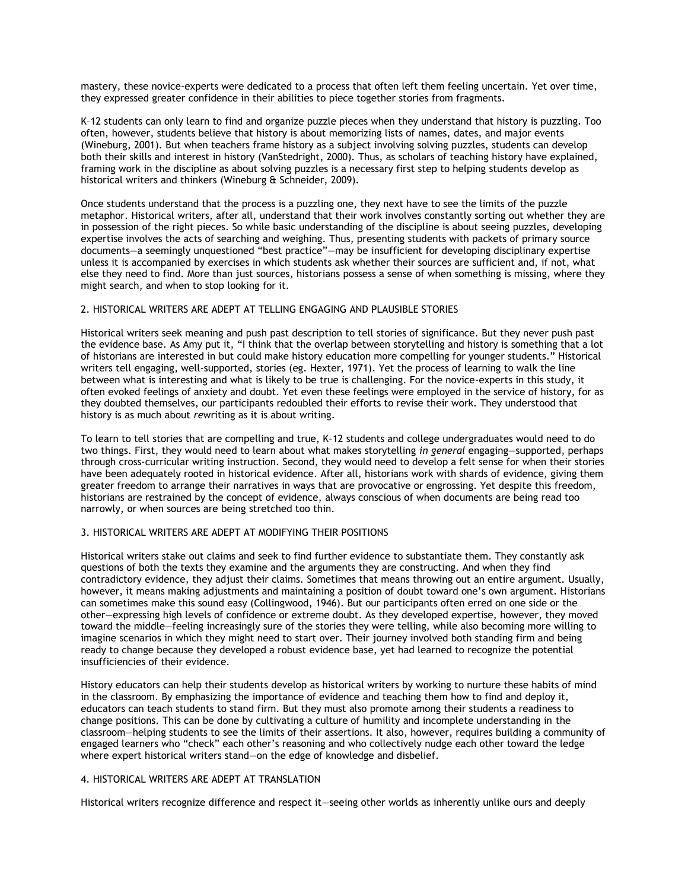mastery, these novice-experts were dedicated to a process that often left them feeling uncertain. Yet over time, they expressed greater confidence in their abilities to piece together stories from fragments.

K–12 students can only learn to find and organize puzzle pieces when they understand that history is puzzling. Too often, however, students believe that history is about memorizing lists of names, dates, and major events (Wineburg, 2001). But when teachers frame history as a subject involving solving puzzles, students can develop both their skills and interest in history (VanStedright, 2000). Thus, as scholars of teaching history have explained, framing work in the discipline as about solving puzzles is a necessary first step to helping students develop as historical writers and thinkers (Wineburg & Schneider, 2009).

Once students understand that the process is a puzzling one, they next have to see the limits of the puzzle metaphor. Historical writers, after all, understand that their work involves constantly sorting out whether they are in possession of the right pieces. So while basic understanding of the discipline is about seeing puzzles, developing expertise involves the acts of searching and weighing. Thus, presenting students with packets of primary source documents—a seemingly unquestioned "best practice"—may be insufficient for developing disciplinary expertise unless it is accompanied by exercises in which students ask whether their sources are sufficient and, if not, what else they need to find. More than just sources, historians possess a sense of when something is missing, where they might search, and when to stop looking for it.

## 2. HISTORICAL WRITERS ARE ADEPT AT TELLING ENGAGING AND PLAUSIBLE STORIES

Historical writers seek meaning and push past description to tell stories of significance. But they never push past the evidence base. As Amy put it, "I think that the overlap between storytelling and history is something that a lot of historians are interested in but could make history education more compelling for younger students." Historical writers tell engaging, well-supported, stories (eg. Hexter, 1971). Yet the process of learning to walk the line between what is interesting and what is likely to be true is challenging. For the novice-experts in this study, it often evoked feelings of anxiety and doubt. Yet even these feelings were employed in the service of history, for as they doubted themselves, our participants redoubled their efforts to revise their work. They understood that history is as much about *re*writing as it is about writing.

To learn to tell stories that are compelling and true, K–12 students and college undergraduates would need to do two things. First, they would need to learn about what makes storytelling *in general* engaging—supported, perhaps through cross-curricular writing instruction. Second, they would need to develop a felt sense for when their stories have been adequately rooted in historical evidence. After all, historians work with shards of evidence, giving them greater freedom to arrange their narratives in ways that are provocative or engrossing. Yet despite this freedom, historians are restrained by the concept of evidence, always conscious of when documents are being read too narrowly, or when sources are being stretched too thin.

## 3. HISTORICAL WRITERS ARE ADEPT AT MODIFYING THEIR POSITIONS

Historical writers stake out claims and seek to find further evidence to substantiate them. They constantly ask questions of both the texts they examine and the arguments they are constructing. And when they find contradictory evidence, they adjust their claims. Sometimes that means throwing out an entire argument. Usually, however, it means making adjustments and maintaining a position of doubt toward one's own argument. Historians can sometimes make this sound easy (Collingwood, 1946). But our participants often erred on one side or the other—expressing high levels of confidence or extreme doubt. As they developed expertise, however, they moved toward the middle—feeling increasingly sure of the stories they were telling, while also becoming more willing to imagine scenarios in which they might need to start over. Their journey involved both standing firm and being ready to change because they developed a robust evidence base, yet had learned to recognize the potential insufficiencies of their evidence.

History educators can help their students develop as historical writers by working to nurture these habits of mind in the classroom. By emphasizing the importance of evidence and teaching them how to find and deploy it, educators can teach students to stand firm. But they must also promote among their students a readiness to change positions. This can be done by cultivating a culture of humility and incomplete understanding in the classroom—helping students to see the limits of their assertions. It also, however, requires building a community of engaged learners who "check" each other's reasoning and who collectively nudge each other toward the ledge where expert historical writers stand—on the edge of knowledge and disbelief.

## 4. HISTORICAL WRITERS ARE ADEPT AT TRANSLATION

Historical writers recognize difference and respect it—seeing other worlds as inherently unlike ours and deeply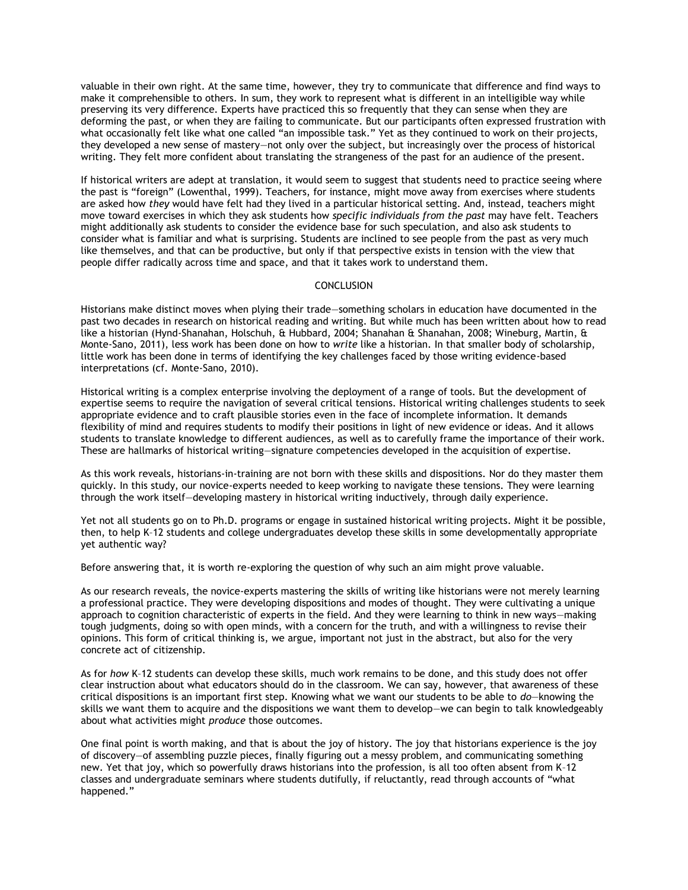valuable in their own right. At the same time, however, they try to communicate that difference and find ways to make it comprehensible to others. In sum, they work to represent what is different in an intelligible way while preserving its very difference. Experts have practiced this so frequently that they can sense when they are deforming the past, or when they are failing to communicate. But our participants often expressed frustration with what occasionally felt like what one called "an impossible task." Yet as they continued to work on their projects, they developed a new sense of mastery—not only over the subject, but increasingly over the process of historical writing. They felt more confident about translating the strangeness of the past for an audience of the present.

If historical writers are adept at translation, it would seem to suggest that students need to practice seeing where the past is "foreign" (Lowenthal, 1999). Teachers, for instance, might move away from exercises where students are asked how *they* would have felt had they lived in a particular historical setting. And, instead, teachers might move toward exercises in which they ask students how *specific individuals from the past* may have felt. Teachers might additionally ask students to consider the evidence base for such speculation, and also ask students to consider what is familiar and what is surprising. Students are inclined to see people from the past as very much like themselves, and that can be productive, but only if that perspective exists in tension with the view that people differ radically across time and space, and that it takes work to understand them.

## **CONCLUSION**

Historians make distinct moves when plying their trade—something scholars in education have documented in the past two decades in research on historical reading and writing. But while much has been written about how to read like a historian (Hynd-Shanahan, Holschuh, & Hubbard, 2004; Shanahan & Shanahan, 2008; Wineburg, Martin, & Monte-Sano, 2011), less work has been done on how to *write* like a historian. In that smaller body of scholarship, little work has been done in terms of identifying the key challenges faced by those writing evidence-based interpretations (cf. Monte-Sano, 2010).

Historical writing is a complex enterprise involving the deployment of a range of tools. But the development of expertise seems to require the navigation of several critical tensions. Historical writing challenges students to seek appropriate evidence and to craft plausible stories even in the face of incomplete information. It demands flexibility of mind and requires students to modify their positions in light of new evidence or ideas. And it allows students to translate knowledge to different audiences, as well as to carefully frame the importance of their work. These are hallmarks of historical writing—signature competencies developed in the acquisition of expertise.

As this work reveals, historians-in-training are not born with these skills and dispositions. Nor do they master them quickly. In this study, our novice-experts needed to keep working to navigate these tensions. They were learning through the work itself—developing mastery in historical writing inductively, through daily experience.

Yet not all students go on to Ph.D. programs or engage in sustained historical writing projects. Might it be possible, then, to help K–12 students and college undergraduates develop these skills in some developmentally appropriate yet authentic way?

Before answering that, it is worth re-exploring the question of why such an aim might prove valuable.

As our research reveals, the novice-experts mastering the skills of writing like historians were not merely learning a professional practice. They were developing dispositions and modes of thought. They were cultivating a unique approach to cognition characteristic of experts in the field. And they were learning to think in new ways—making tough judgments, doing so with open minds, with a concern for the truth, and with a willingness to revise their opinions. This form of critical thinking is, we argue, important not just in the abstract, but also for the very concrete act of citizenship.

As for *how* K–12 students can develop these skills, much work remains to be done, and this study does not offer clear instruction about what educators should do in the classroom. We can say, however, that awareness of these critical dispositions is an important first step. Knowing what we want our students to be able to *do*—knowing the skills we want them to acquire and the dispositions we want them to develop—we can begin to talk knowledgeably about what activities might *produce* those outcomes.

One final point is worth making, and that is about the joy of history. The joy that historians experience is the joy of discovery—of assembling puzzle pieces, finally figuring out a messy problem, and communicating something new. Yet that joy, which so powerfully draws historians into the profession, is all too often absent from K–12 classes and undergraduate seminars where students dutifully, if reluctantly, read through accounts of "what happened."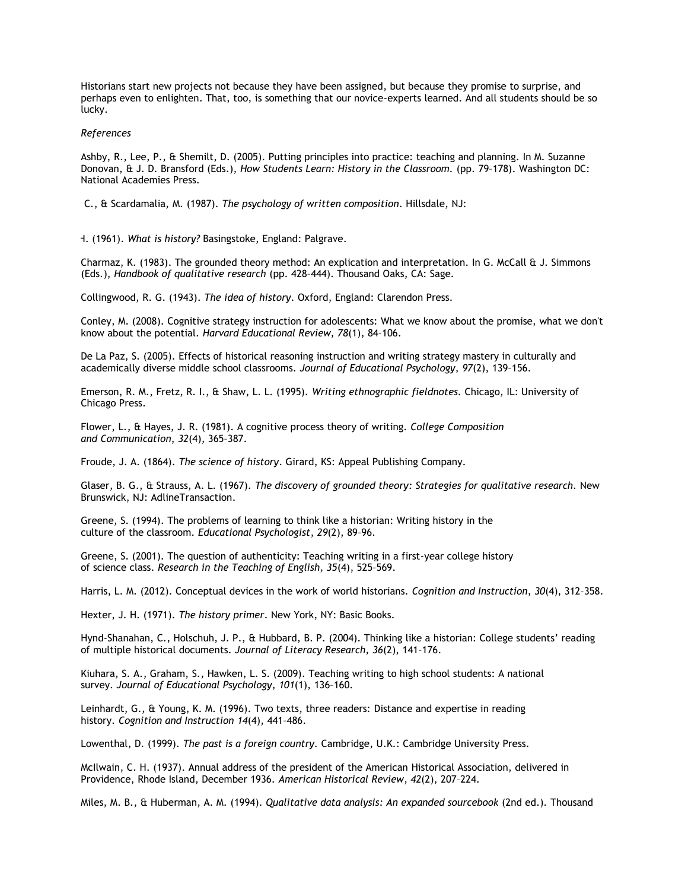Historians start new projects not because they have been assigned, but because they promise to surprise, and perhaps even to enlighten. That, too, is something that our novice-experts learned. And all students should be so lucky.

#### *References*

Ashby, R., Lee, P., & Shemilt, D. (2005). Putting principles into practice: teaching and planning. In M. Suzanne Donovan, & J. D. Bransford (Eds.), *How Students Learn: History in the Classroom.* (pp. 79–178). Washington DC: National Academies Press.

Bereiter, C., & Scardamalia, M. (1987). *The psychology of written composition*. Hillsdale, NJ:

H. (1961). What is history? Basingstoke, England: Palgrave.

Charmaz, K. (1983). The grounded theory method: An explication and interpretation. In G. McCall & J. Simmons (Eds.), *Handbook of qualitative research* (pp. 428–444). Thousand Oaks, CA: Sage.

Collingwood, R. G. (1943). *The idea of history*. Oxford, England: Clarendon Press.

Conley, M. (2008). Cognitive strategy instruction for adolescents: What we know about the promise, what we don't know about the potential. *Harvard Educational Review, 78*(1), 84–106.

De La Paz, S. (2005). Effects of historical reasoning instruction and writing strategy mastery in culturally and academically diverse middle school classrooms. *Journal of Educational Psychology*, *97*(2), 139–156.

Emerson, R. M., Fretz, R. I., & Shaw, L. L. (1995). *Writing ethnographic fieldnotes.* Chicago, IL: University of Chicago Press.

Flower, L., & Hayes, J. R. (1981). A cognitive process theory of writing. *College Composition and Communication*, *32*(4), 365–387.

Froude, J. A. (1864). *The science of history*. Girard, KS: Appeal Publishing Company.

Glaser, B. G., & Strauss, A. L. (1967). *The discovery of grounded theory: Strategies for qualitative research.* New Brunswick, NJ: AdlineTransaction.

Greene, S. (1994). The problems of learning to think like a historian: Writing history in the culture of the classroom. *Educational Psychologist*, *29*(2), 89–96.

Greene, S. (2001). The question of authenticity: Teaching writing in a first-year college history of science class. *Research in the Teaching of English, 35*(4), 525–569.

Harris, L. M. (2012). Conceptual devices in the work of world historians. *Cognition and Instruction*, *30*(4), 312–358.

Hexter, J. H. (1971). *The history primer*. New York, NY: Basic Books.

Hynd-Shanahan, C., Holschuh, J. P., & Hubbard, B. P. (2004). Thinking like a historian: College students' reading of multiple historical documents. *Journal of Literacy Research, 36*(2), 141–176.

Kiuhara, S. A., Graham, S., Hawken, L. S. (2009). Teaching writing to high school students: A national survey. *Journal of Educational Psychology*, *101*(1), 136–160.

Leinhardt, G., & Young, K. M. (1996). Two texts, three readers: Distance and expertise in reading history. *Cognition and Instruction 14*(4), 441–486.

Lowenthal, D. (1999). *The past is a foreign country.* Cambridge, U.K.: Cambridge University Press.

McIlwain, C. H. (1937). Annual address of the president of the American Historical Association, delivered in Providence, Rhode Island, December 1936. *American Historical Review*, *42*(2), 207–224.

Miles, M. B., & Huberman, A. M. (1994). *Qualitative data analysis: An expanded sourcebook* (2nd ed.). Thousand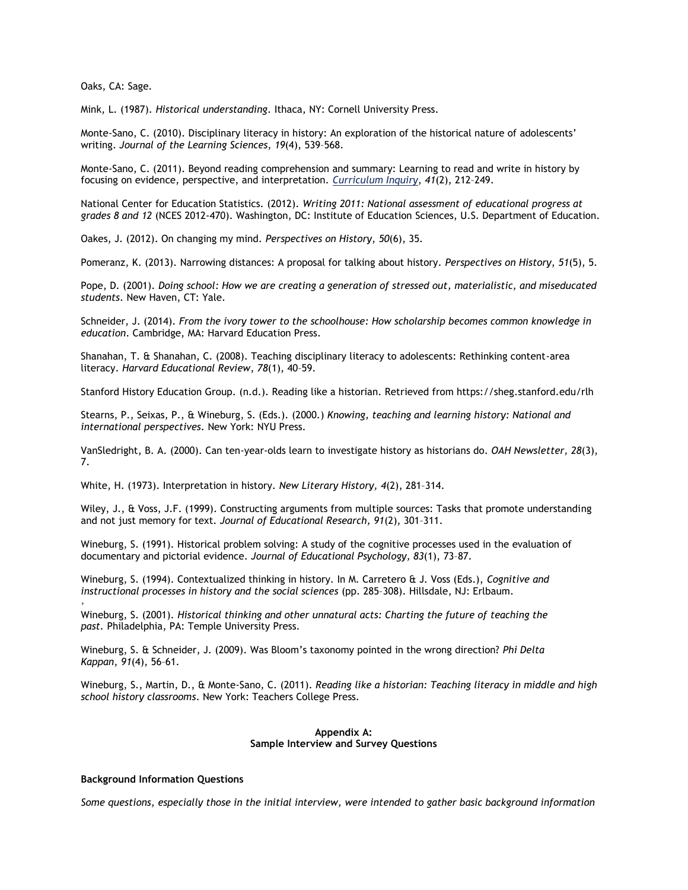Oaks, CA: Sage.

Mink, L. (1987). *Historical understanding*. Ithaca, NY: Cornell University Press.

Monte-Sano, C. (2010). Disciplinary literacy in history: An exploration of the historical nature of adolescents' writing. *Journal of the Learning Sciences*, *19*(4), 539–568.

Monte-Sano, C. (2011). Beyond reading comprehension and summary: Learning to read and write in history by focusing on evidence, perspective, and interpretation. *[Curriculum Inquiry](javascript:__doLinkPostBack()*, *41*(2), 212–249.

National Center for Education Statistics. (2012). *Writing 2011: National assessment of educational progress at grades 8 and 12* (NCES 2012-470). Washington, DC: Institute of Education Sciences, U.S. Department of Education.

Oakes, J. (2012). On changing my mind. *Perspectives on History*, *50*(6), 35.

Pomeranz, K. (2013). Narrowing distances: A proposal for talking about history. *Perspectives on History*, *51*(5), 5.

Pope, D. (2001). *Doing school: How we are creating a generation of stressed out, materialistic, and miseducated students*. New Haven, CT: Yale.

Schneider, J. (2014). *From the ivory tower to the schoolhouse: How scholarship becomes common knowledge in education*. Cambridge, MA: Harvard Education Press.

Shanahan, T. & Shanahan, C. (2008). Teaching disciplinary literacy to adolescents: Rethinking content-area literacy. *Harvard Educational Review*, *78*(1), 40–59.

Stanford History Education Group. (n.d.). Reading like a historian. Retrieved from https://sheg.stanford.edu/rlh

Stearns, P., Seixas, P., & Wineburg, S. (Eds.). (2000.) *Knowing, teaching and learning history: National and international perspectives*. New York: NYU Press.

VanSledright, B. A. (2000). Can ten-year-olds learn to investigate history as historians do. *OAH Newsletter, 28*(3), 7.

White, H. (1973). Interpretation in history. *New Literary History, 4*(2), 281–314.

Wiley, J., & Voss, J.F. (1999). Constructing arguments from multiple sources: Tasks that promote understanding and not just memory for text. *Journal of Educational Research, 91*(2), 301–311.

Wineburg, S. (1991). Historical problem solving: A study of the cognitive processes used in the evaluation of documentary and pictorial evidence. *Journal of Educational Psychology, 83*(1), 73–87.

Wineburg, S. (1994). Contextualized thinking in history. In M. Carretero & J. Voss (Eds.), *Cognitive and instructional processes in history and the social sciences* (pp. 285–308). Hillsdale, NJ: Erlbaum.

Wineburg, S. (2001). *Historical thinking and other unnatural acts: Charting the future of teaching the past.* Philadelphia, PA: Temple University Press.

Wineburg, S. & Schneider, J. (2009). Was Bloom's taxonomy pointed in the wrong direction? *Phi Delta Kappan*, *91*(4), 56–61.

Wineburg, S., Martin, D., & Monte-Sano, C. (2011). *Reading like a historian: Teaching literacy in middle and high school history classrooms*. New York: Teachers College Press.

#### **Appendix A: Sample Interview and Survey Questions**

#### **Background Information Questions**

›

*Some questions, especially those in the initial interview, were intended to gather basic background information*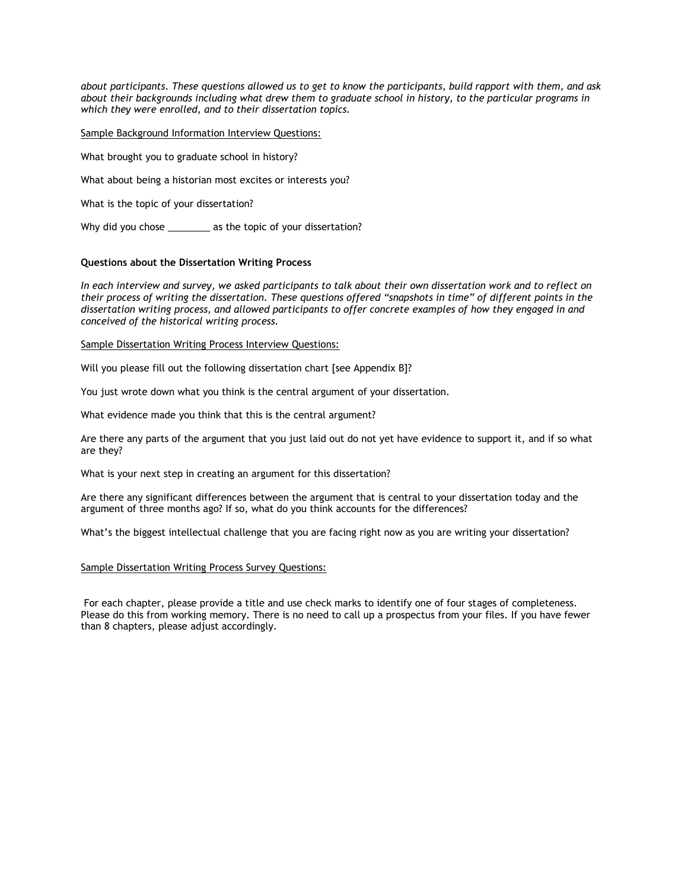*about participants. These questions allowed us to get to know the participants, build rapport with them, and ask about their backgrounds including what drew them to graduate school in history, to the particular programs in which they were enrolled, and to their dissertation topics.*

Sample Background Information Interview Questions:

What brought you to graduate school in history?

What about being a historian most excites or interests you?

What is the topic of your dissertation?

Why did you chose \_\_\_\_\_\_\_\_ as the topic of your dissertation?

#### **Questions about the Dissertation Writing Process**

*In each interview and survey, we asked participants to talk about their own dissertation work and to reflect on their process of writing the dissertation. These questions offered "snapshots in time" of different points in the dissertation writing process, and allowed participants to offer concrete examples of how they engaged in and conceived of the historical writing process.*

Sample Dissertation Writing Process Interview Questions:

Will you please fill out the following dissertation chart [see Appendix B]?

You just wrote down what you think is the central argument of your dissertation.

What evidence made you think that this is the central argument?

Are there any parts of the argument that you just laid out do not yet have evidence to support it, and if so what are they?

What is your next step in creating an argument for this dissertation?

Are there any significant differences between the argument that is central to your dissertation today and the argument of three months ago? If so, what do you think accounts for the differences?

What's the biggest intellectual challenge that you are facing right now as you are writing your dissertation?

## Sample Dissertation Writing Process Survey Questions:

For each chapter, please provide a title and use check marks to identify one of four stages of completeness. Please do this from working memory. There is no need to call up a prospectus from your files. If you have fewer than 8 chapters, please adjust accordingly.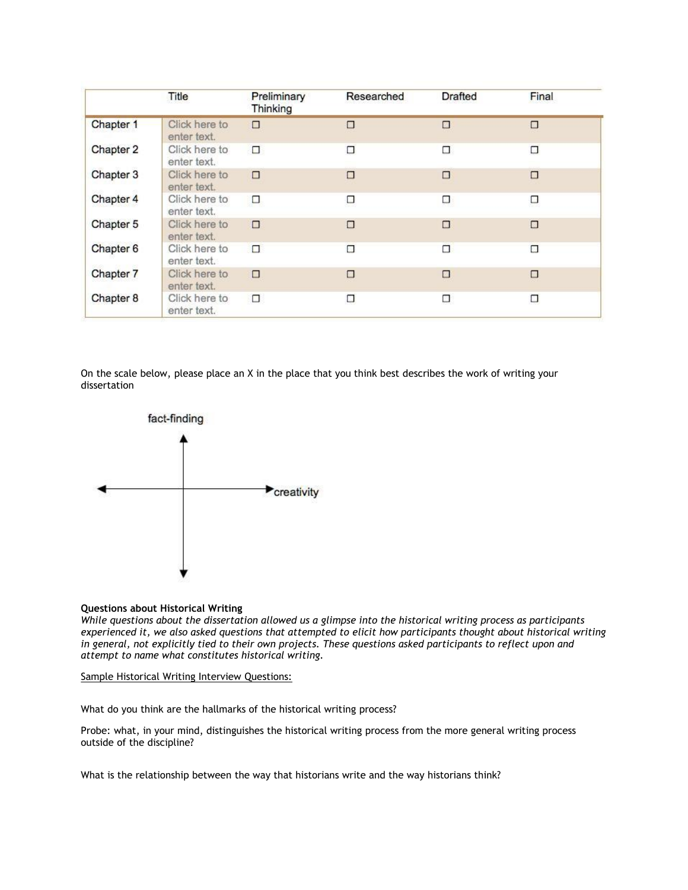|           | Title                        | Preliminary<br>Thinking | Researched | <b>Drafted</b> | Final  |
|-----------|------------------------------|-------------------------|------------|----------------|--------|
| Chapter 1 | Click here to<br>enter text. | □                       | □          | □              | $\Box$ |
| Chapter 2 | Click here to<br>enter text. | □                       | □          | □              | □      |
| Chapter 3 | Click here to<br>enter text. | □                       | $\Box$     | □              | Ω      |
| Chapter 4 | Click here to<br>enter text. | □                       | □<br>- -   | □              | □      |
| Chapter 5 | Click here to<br>enter text. | $\Box$                  | Ω          | □              | Ω      |
| Chapter 6 | Click here to<br>enter text. | $\Box$                  | Ω          | □              | Π      |
| Chapter 7 | Click here to<br>enter text. | □                       | □          | □              | □      |
| Chapter 8 | Click here to<br>enter text. | □                       | □          | □              | α      |

On the scale below, please place an X in the place that you think best describes the work of writing your dissertation



## **Questions about Historical Writing**

*While questions about the dissertation allowed us a glimpse into the historical writing process as participants experienced it, we also asked questions that attempted to elicit how participants thought about historical writing in general, not explicitly tied to their own projects. These questions asked participants to reflect upon and attempt to name what constitutes historical writing.*

Sample Historical Writing Interview Questions:

What do you think are the hallmarks of the historical writing process?

Probe: what, in your mind, distinguishes the historical writing process from the more general writing process outside of the discipline?

What is the relationship between the way that historians write and the way historians think?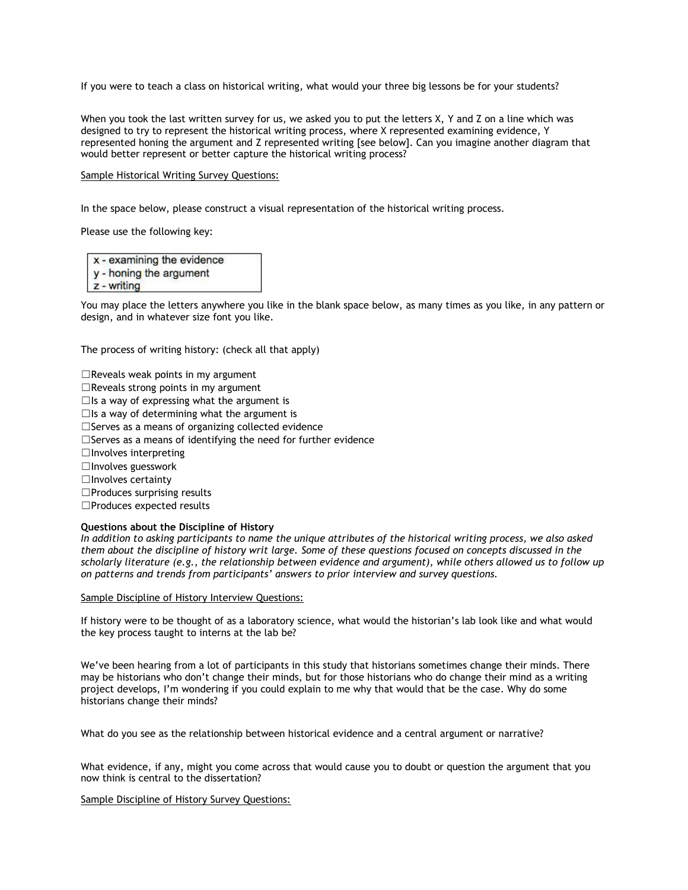If you were to teach a class on historical writing, what would your three big lessons be for your students?

When you took the last written survey for us, we asked you to put the letters X, Y and Z on a line which was designed to try to represent the historical writing process, where X represented examining evidence, Y represented honing the argument and Z represented writing [see below]. Can you imagine another diagram that would better represent or better capture the historical writing process?

#### Sample Historical Writing Survey Questions:

In the space below, please construct a visual representation of the historical writing process.

Please use the following key:

x - examining the evidence

- y honing the argument
- $z$  writing

You may place the letters anywhere you like in the blank space below, as many times as you like, in any pattern or design, and in whatever size font you like.

The process of writing history: (check all that apply)

 $\Box$ Reveals weak points in my argument  $\Box$ Reveals strong points in my argument  $\Box$ Is a way of expressing what the argument is  $\Box$ Is a way of determining what the argument is □Serves as a means of organizing collected evidence □Serves as a means of identifying the need for further evidence  $\Box$ Involves interpreting ☐Involves guesswork ☐Involves certainty ☐Produces surprising results ☐Produces expected results

## **Questions about the Discipline of History**

*In addition to asking participants to name the unique attributes of the historical writing process, we also asked them about the discipline of history writ large. Some of these questions focused on concepts discussed in the scholarly literature (e.g., the relationship between evidence and argument), while others allowed us to follow up on patterns and trends from participants' answers to prior interview and survey questions.*

Sample Discipline of History Interview Questions:

If history were to be thought of as a laboratory science, what would the historian's lab look like and what would the key process taught to interns at the lab be?

We've been hearing from a lot of participants in this study that historians sometimes change their minds. There may be historians who don't change their minds, but for those historians who do change their mind as a writing project develops, I'm wondering if you could explain to me why that would that be the case. Why do some historians change their minds?

What do you see as the relationship between historical evidence and a central argument or narrative?

What evidence, if any, might you come across that would cause you to doubt or question the argument that you now think is central to the dissertation?

Sample Discipline of History Survey Questions: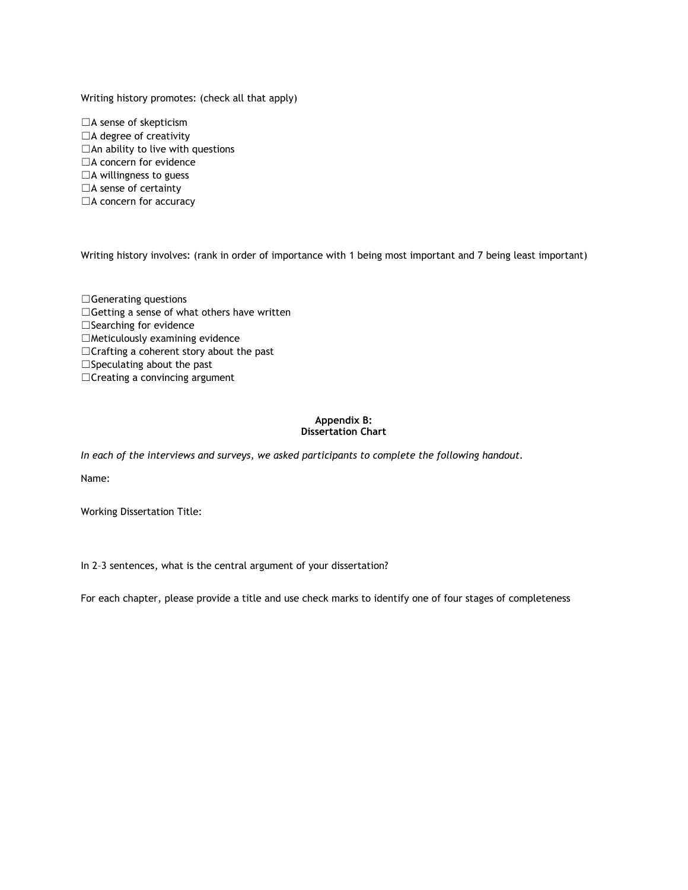Writing history promotes: (check all that apply)

□A sense of skepticism □A degree of creativity □An ability to live with questions □A concern for evidence  $\Box$ A willingness to guess □A sense of certainty □A concern for accuracy

Writing history involves: (rank in order of importance with 1 being most important and 7 being least important)

□Generating questions □Getting a sense of what others have written □Searching for evidence  $\Box$ Meticulously examining evidence ☐Crafting a coherent story about the past □Speculating about the past ☐Creating a convincing argument

## **Appendix B: Dissertation Chart**

*In each of the interviews and surveys, we asked participants to complete the following handout.*

Name:

Working Dissertation Title:

In 2–3 sentences, what is the central argument of your dissertation?

For each chapter, please provide a title and use check marks to identify one of four stages of completeness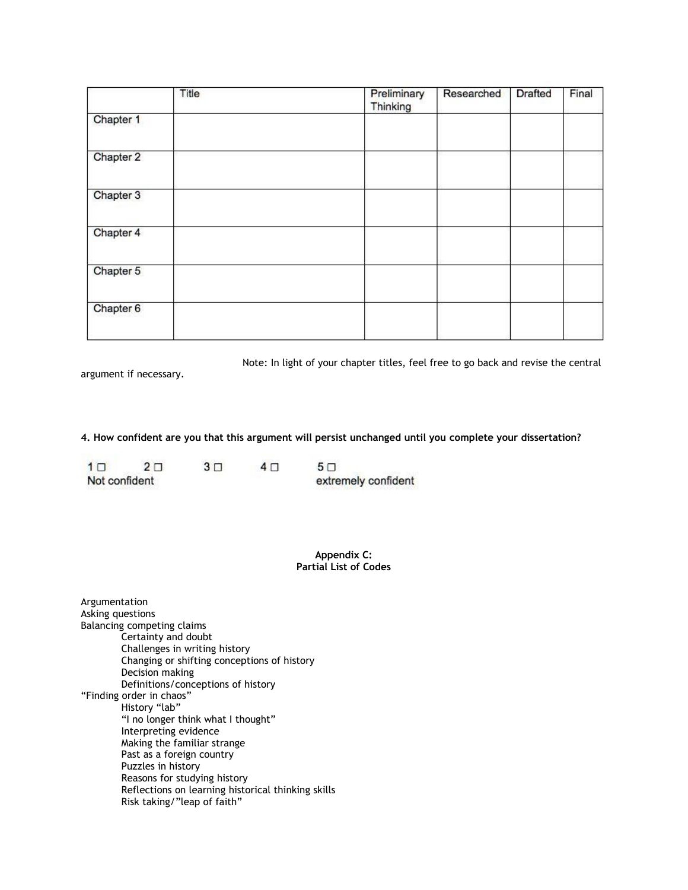|           | Title | Preliminary<br>Thinking | Researched | <b>Drafted</b> | Final |
|-----------|-------|-------------------------|------------|----------------|-------|
| Chapter 1 |       |                         |            |                |       |
| Chapter 2 |       |                         |            |                |       |
| Chapter 3 |       |                         |            |                |       |
| Chapter 4 |       |                         |            |                |       |
| Chapter 5 |       |                         |            |                |       |
| Chapter 6 |       |                         |            |                |       |

Note: In light of your chapter titles, feel free to go back and revise the central

argument if necessary.

**4. How confident are you that this argument will persist unchanged until you complete your dissertation?**

| 1 <sub>1</sub> | $2\Box$ | $3\Box$ | 4 F | $5\Box$             |
|----------------|---------|---------|-----|---------------------|
| Not confident  |         |         |     | extremely confident |

**Appendix C: Partial List of Codes**

| Argumentation                                      |
|----------------------------------------------------|
| Asking questions                                   |
| Balancing competing claims                         |
| Certainty and doubt                                |
| Challenges in writing history                      |
| Changing or shifting conceptions of history        |
| Decision making                                    |
| Definitions/conceptions of history                 |
| "Finding order in chaos"                           |
| History "lab"                                      |
| "I no longer think what I thought"                 |
| Interpreting evidence                              |
| Making the familiar strange                        |
| Past as a foreign country                          |
| Puzzles in history                                 |
| Reasons for studying history                       |
| Reflections on learning historical thinking skills |
| Risk taking/"leap of faith"                        |